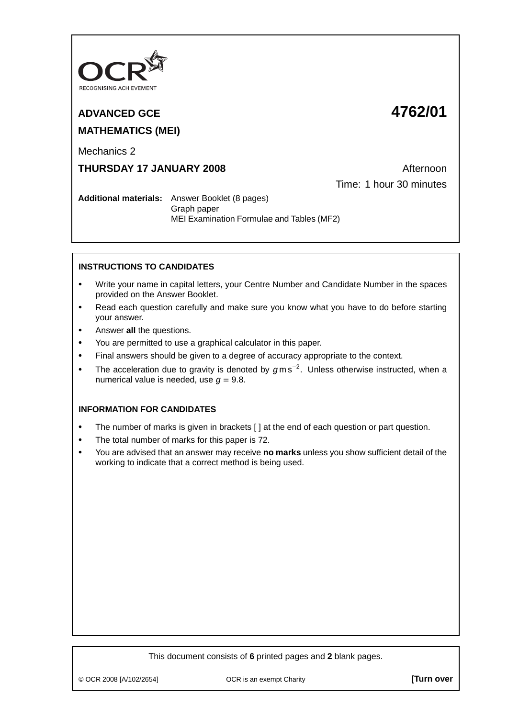

# **ADVANCED GCE 4762/01 MATHEMATICS (MEI)**

Mechanics 2

## **THURSDAY 17 JANUARY 2008** Afternoon

Time: 1 hour 30 minutes

**Additional materials:** Answer Booklet (8 pages) Graph paper MEI Examination Formulae and Tables (MF2)

### **INSTRUCTIONS TO CANDIDATES**

- **•** Write your name in capital letters, your Centre Number and Candidate Number in the spaces provided on the Answer Booklet.
- **•** Read each question carefully and make sure you know what you have to do before starting your answer.
- **•** Answer **all** the questions.
- **•** You are permitted to use a graphical calculator in this paper.
- **•** Final answers should be given to a degree of accuracy appropriate to the context.
- **•** The acceleration due to gravity is denoted by <sup>g</sup> m s−<sup>2</sup> . Unless otherwise instructed, when a numerical value is needed, use  $q = 9.8$ .

#### **INFORMATION FOR CANDIDATES**

- **•** The number of marks is given in brackets [ ] at the end of each question or part question.
- **•** The total number of marks for this paper is 72.
- **•** You are advised that an answer may receive **no marks** unless you show sufficient detail of the working to indicate that a correct method is being used.

#### This document consists of **6** printed pages and **2** blank pages.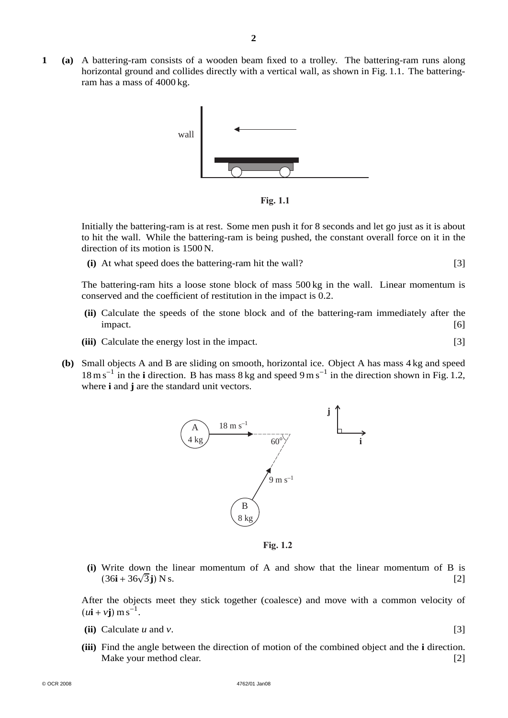**1 (a)** A battering-ram consists of a wooden beam fixed to a trolley. The battering-ram runs along horizontal ground and collides directly with a vertical wall, as shown in Fig. 1.1. The batteringram has a mass of 4000 kg.



**Fig. 1.1**

Initially the battering-ram is at rest. Some men push it for 8 seconds and let go just as it is about to hit the wall. While the battering-ram is being pushed, the constant overall force on it in the direction of its motion is 1500 N.

**(i)** At what speed does the battering-ram hit the wall? [3]

The battering-ram hits a loose stone block of mass 500 kg in the wall. Linear momentum is conserved and the coefficient of restitution in the impact is 0.2.

- **(ii)** Calculate the speeds of the stone block and of the battering-ram immediately after the impact. [6]
- **(iii)** Calculate the energy lost in the impact. [3]
- **(b)** Small objects A and B are sliding on smooth, horizontal ice. Object A has mass 4 kg and speed 18 m s<sup>−</sup><sup>1</sup> in the **i** direction. B has mass 8 kg and speed 9 m s<sup>−</sup><sup>1</sup> in the direction shown in Fig. 1.2, where **i** and **j** are the standard unit vectors.



**Fig. 1.2**

**(i)** Write down the linear momentum of A and show that the linear momentum of B is  $(36i + 36\sqrt{3}i)$  N s. **3j**) N s. [2]

After the objects meet they stick together (coalesce) and move with a common velocity of  $(u**i** + v**j**)$  m s<sup>-1</sup>.

**(ii)** Calculate *u* and *v*. [3]

**(iii)** Find the angle between the direction of motion of the combined object and the **i** direction. Make your method clear. [2]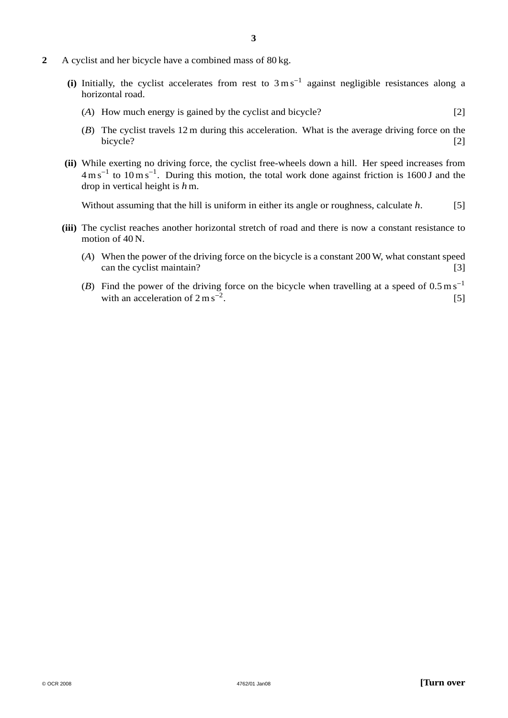- **2** A cyclist and her bicycle have a combined mass of 80 kg.
	- (i) Initially, the cyclist accelerates from rest to  $3 \text{ m s}^{-1}$  against negligible resistances along a horizontal road.
		- (*A*) How much energy is gained by the cyclist and bicycle? [2]
		- (*B*) The cyclist travels 12 m during this acceleration. What is the average driving force on the bicycle? [2]
	- **(ii)** While exerting no driving force, the cyclist free-wheels down a hill. Her speed increases from  $4 \text{ m s}^{-1}$  to  $10 \text{ m s}^{-1}$ . During this motion, the total work done against friction is 1600 J and the drop in vertical height is *h* m.

Without assuming that the hill is uniform in either its angle or roughness, calculate *h*. [5]

- **(iii)** The cyclist reaches another horizontal stretch of road and there is now a constant resistance to motion of  $40$  N.
	- (*A*) When the power of the driving force on the bicycle is a constant 200 W, what constant speed can the cyclist maintain? [3] [3]
	- (*B*) Find the power of the driving force on the bicycle when travelling at a speed of  $0.5 \text{ m s}^{-1}$ with an acceleration of  $2 \text{ m s}^{-2}$ . .  $[5]$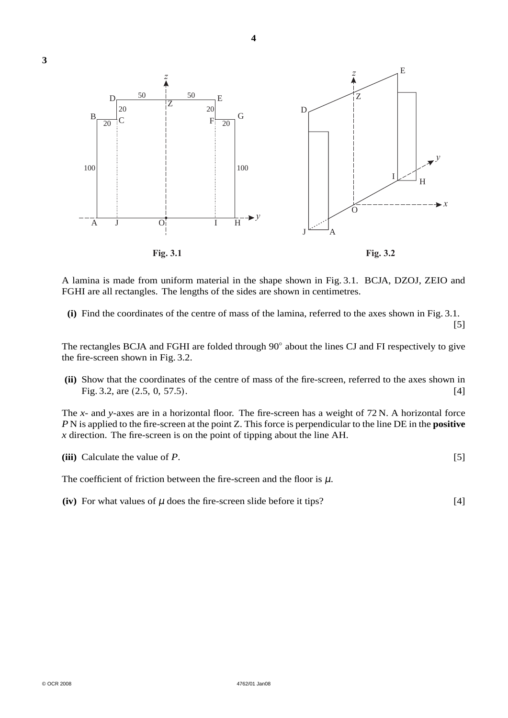

A lamina is made from uniform material in the shape shown in Fig. 3.1. BCJA, DZOJ, ZEIO and FGHI are all rectangles. The lengths of the sides are shown in centimetres.

**(i)** Find the coordinates of the centre of mass of the lamina, referred to the axes shown in Fig. 3.1.

[5]

The rectangles BCJA and FGHI are folded through 90° about the lines CJ and FI respectively to give the fire-screen shown in Fig. 3.2.

**(ii)** Show that the coordinates of the centre of mass of the fire-screen, referred to the axes shown in Fig. 3.2, are  $(2.5, 0, 57.5)$ . [4]

The *x*- and *y*-axes are in a horizontal floor. The fire-screen has a weight of 72 N. A horizontal force *P* N is applied to the fire-screen at the point Z. This force is perpendicular to the line DE in the **positive** *x* direction. The fire-screen is on the point of tipping about the line AH.

| (iii) Calculate the value of $P$ . |  |
|------------------------------------|--|
|                                    |  |

The coefficient of friction between the fire-screen and the floor is  $\mu$ .

|  | (iv) For what values of $\mu$ does the fire-screen slide before it tips? |  |
|--|--------------------------------------------------------------------------|--|
|  |                                                                          |  |

**3**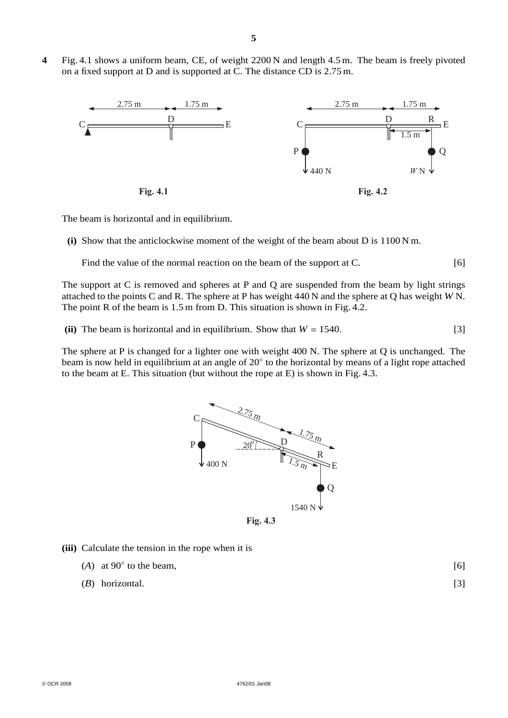**4** Fig. 4.1 shows a uniform beam, CE, of weight 2200 N and length 4.5 m. The beam is freely pivoted on a fixed support at D and is supported at C. The distance CD is 2.75 m.



The beam is horizontal and in equilibrium.

**(i)** Show that the anticlockwise moment of the weight of the beam about D is 1100 N m.

Find the value of the normal reaction on the beam of the support at C. [6]

The support at C is removed and spheres at P and Q are suspended from the beam by light strings attached to the points C and R. The sphere at P has weight 440 N and the sphere at Q has weight *W* N. The point R of the beam is 1.5 m from D. This situation is shown in Fig. 4.2.

**(ii)** The beam is horizontal and in equilibrium. Show that  $W = 1540$ . [3]

The sphere at P is changed for a lighter one with weight 400 N. The sphere at Q is unchanged. The beam is now held in equilibrium at an angle of 20◦ to the horizontal by means of a light rope attached to the beam at E. This situation (but without the rope at E) is shown in Fig. 4.3.



**(iii)** Calculate the tension in the rope when it is

| (A) at 90 $^{\circ}$ to the beam, |  |
|-----------------------------------|--|
|                                   |  |

$$
(B) horizontal. \t\t(3)
$$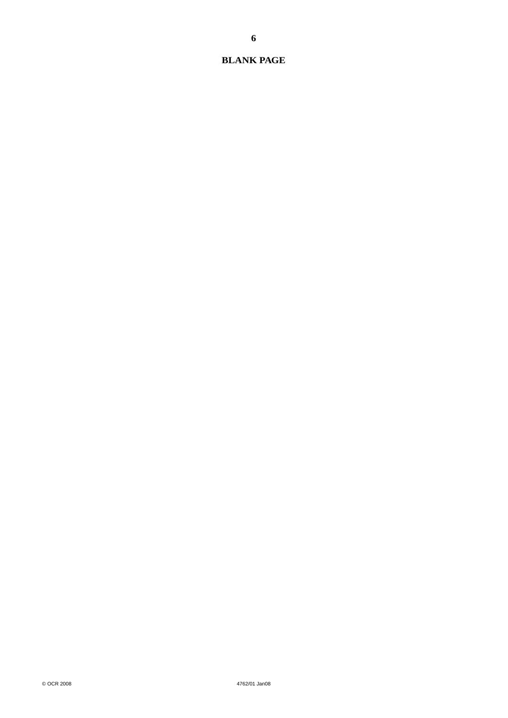#### **BLANK PAGE**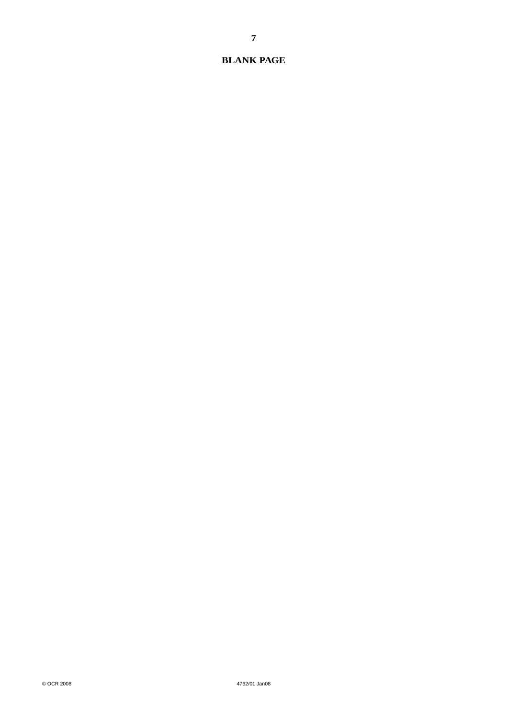#### **BLANK PAGE**